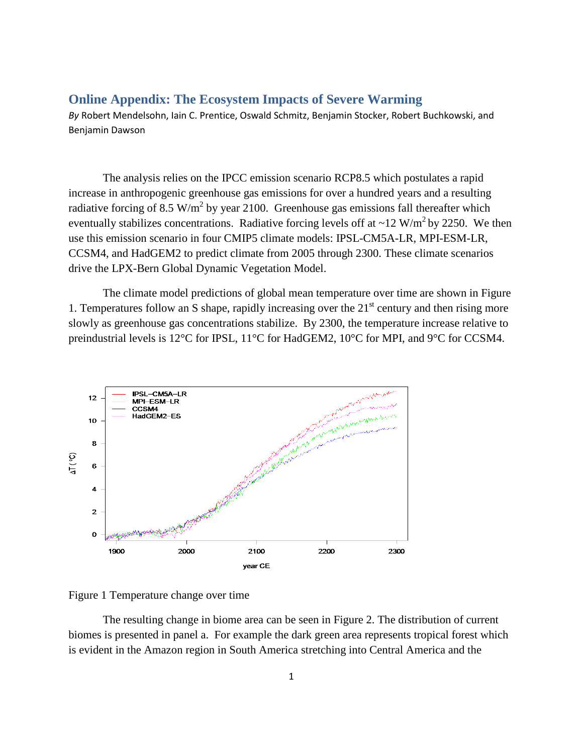## **Online Appendix: The Ecosystem Impacts of Severe Warming**

*By* Robert Mendelsohn, Iain C. Prentice, Oswald Schmitz, Benjamin Stocker, Robert Buchkowski, and Benjamin Dawson

The analysis relies on the IPCC emission scenario RCP8.5 which postulates a rapid increase in anthropogenic greenhouse gas emissions for over a hundred years and a resulting radiative forcing of 8.5 W/m<sup>2</sup> by year 2100. Greenhouse gas emissions fall thereafter which eventually stabilizes concentrations. Radiative forcing levels off at  $\sim$ 12 W/m<sup>2</sup> by 2250. We then use this emission scenario in four CMIP5 climate models: IPSL-CM5A-LR, MPI-ESM-LR, CCSM4, and HadGEM2 to predict climate from 2005 through 2300. These climate scenarios drive the LPX-Bern Global Dynamic Vegetation Model.

The climate model predictions of global mean temperature over time are shown in Figure 1. Temperatures follow an S shape, rapidly increasing over the  $21<sup>st</sup>$  century and then rising more slowly as greenhouse gas concentrations stabilize. By 2300, the temperature increase relative to preindustrial levels is 12°C for IPSL, 11°C for HadGEM2, 10°C for MPI, and 9°C for CCSM4.



Figure 1 Temperature change over time

The resulting change in biome area can be seen in Figure 2. The distribution of current biomes is presented in panel a. For example the dark green area represents tropical forest which is evident in the Amazon region in South America stretching into Central America and the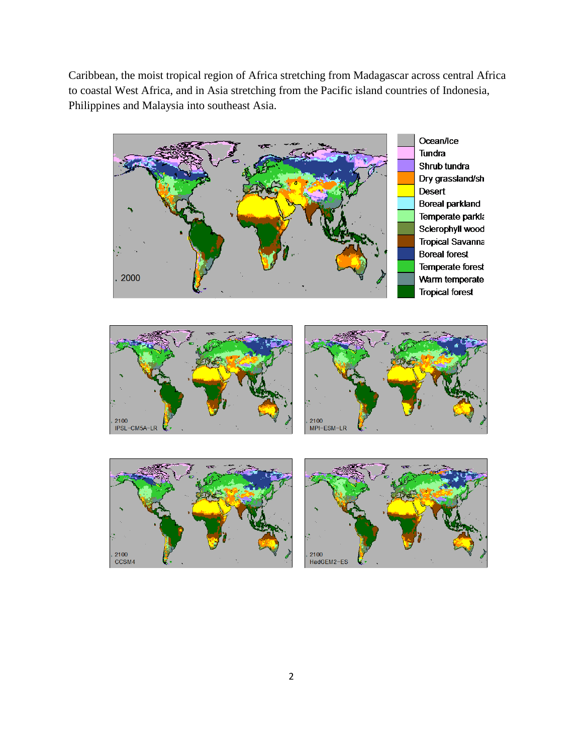Caribbean, the moist tropical region of Africa stretching from Madagascar across central Africa to coastal West Africa, and in Asia stretching from the Pacific island countries of Indonesia, Philippines and Malaysia into southeast Asia.



Ocean/Ice **Tundra** Shrub tundra Dry grassland/sh **Desert Boreal parkland** Temperate parkla Sclerophyll wood **Tropical Savanna Boreal forest** Temperate forest Warm temperate **Tropical forest** 





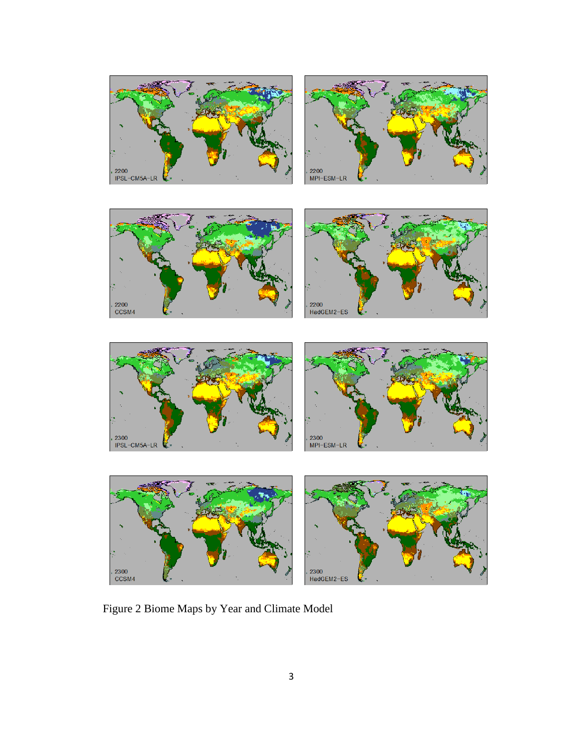









Figure 2 Biome Maps by Year and Climate Model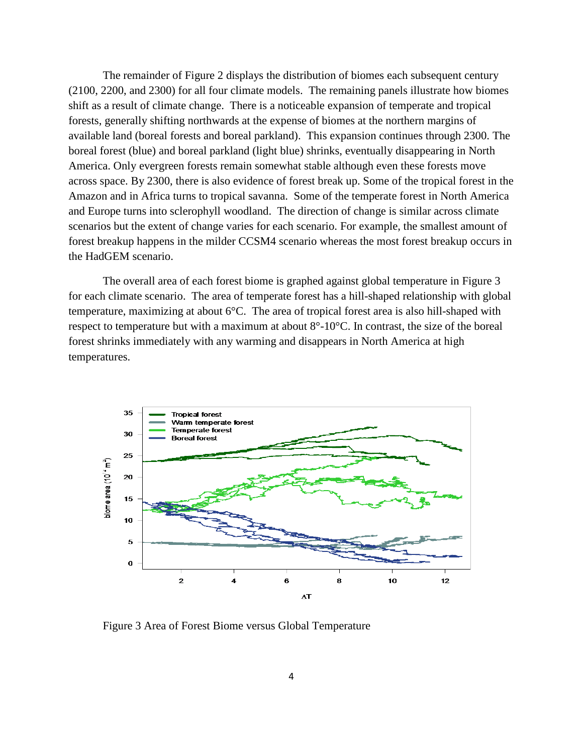The remainder of Figure 2 displays the distribution of biomes each subsequent century (2100, 2200, and 2300) for all four climate models. The remaining panels illustrate how biomes shift as a result of climate change. There is a noticeable expansion of temperate and tropical forests, generally shifting northwards at the expense of biomes at the northern margins of available land (boreal forests and boreal parkland). This expansion continues through 2300. The boreal forest (blue) and boreal parkland (light blue) shrinks, eventually disappearing in North America. Only evergreen forests remain somewhat stable although even these forests move across space. By 2300, there is also evidence of forest break up. Some of the tropical forest in the Amazon and in Africa turns to tropical savanna. Some of the temperate forest in North America and Europe turns into sclerophyll woodland. The direction of change is similar across climate scenarios but the extent of change varies for each scenario. For example, the smallest amount of forest breakup happens in the milder CCSM4 scenario whereas the most forest breakup occurs in the HadGEM scenario.

The overall area of each forest biome is graphed against global temperature in Figure 3 for each climate scenario. The area of temperate forest has a hill-shaped relationship with global temperature, maximizing at about 6°C. The area of tropical forest area is also hill-shaped with respect to temperature but with a maximum at about 8°-10°C. In contrast, the size of the boreal forest shrinks immediately with any warming and disappears in North America at high temperatures.



Figure 3 Area of Forest Biome versus Global Temperature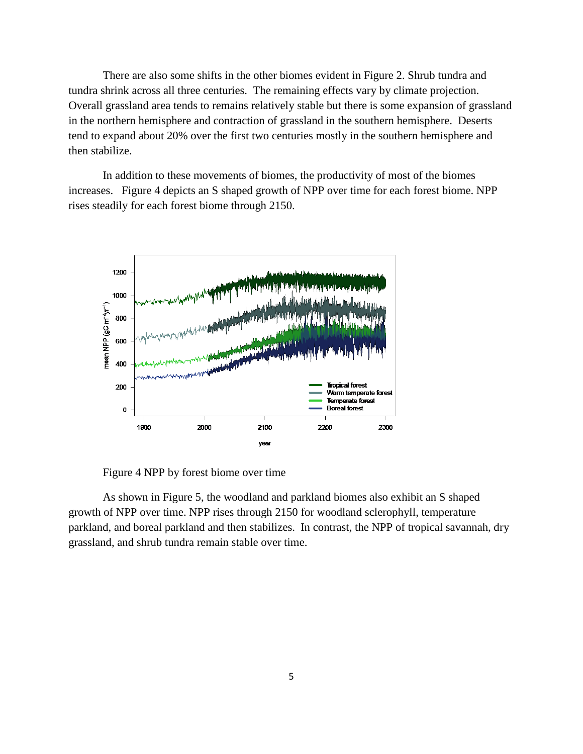There are also some shifts in the other biomes evident in Figure 2. Shrub tundra and tundra shrink across all three centuries. The remaining effects vary by climate projection. Overall grassland area tends to remains relatively stable but there is some expansion of grassland in the northern hemisphere and contraction of grassland in the southern hemisphere. Deserts tend to expand about 20% over the first two centuries mostly in the southern hemisphere and then stabilize.

In addition to these movements of biomes, the productivity of most of the biomes increases. Figure 4 depicts an S shaped growth of NPP over time for each forest biome. NPP rises steadily for each forest biome through 2150.



Figure 4 NPP by forest biome over time

As shown in Figure 5, the woodland and parkland biomes also exhibit an S shaped growth of NPP over time. NPP rises through 2150 for woodland sclerophyll, temperature parkland, and boreal parkland and then stabilizes. In contrast, the NPP of tropical savannah, dry grassland, and shrub tundra remain stable over time.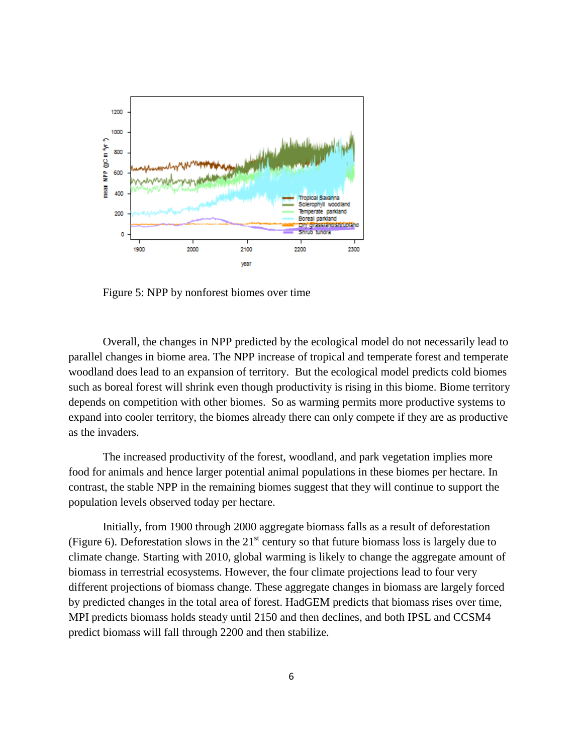

Figure 5: NPP by nonforest biomes over time

Overall, the changes in NPP predicted by the ecological model do not necessarily lead to parallel changes in biome area. The NPP increase of tropical and temperate forest and temperate woodland does lead to an expansion of territory. But the ecological model predicts cold biomes such as boreal forest will shrink even though productivity is rising in this biome. Biome territory depends on competition with other biomes. So as warming permits more productive systems to expand into cooler territory, the biomes already there can only compete if they are as productive as the invaders.

The increased productivity of the forest, woodland, and park vegetation implies more food for animals and hence larger potential animal populations in these biomes per hectare. In contrast, the stable NPP in the remaining biomes suggest that they will continue to support the population levels observed today per hectare.

Initially, from 1900 through 2000 aggregate biomass falls as a result of deforestation (Figure 6). Deforestation slows in the  $21<sup>st</sup>$  century so that future biomass loss is largely due to climate change. Starting with 2010, global warming is likely to change the aggregate amount of biomass in terrestrial ecosystems. However, the four climate projections lead to four very different projections of biomass change. These aggregate changes in biomass are largely forced by predicted changes in the total area of forest. HadGEM predicts that biomass rises over time, MPI predicts biomass holds steady until 2150 and then declines, and both IPSL and CCSM4 predict biomass will fall through 2200 and then stabilize.